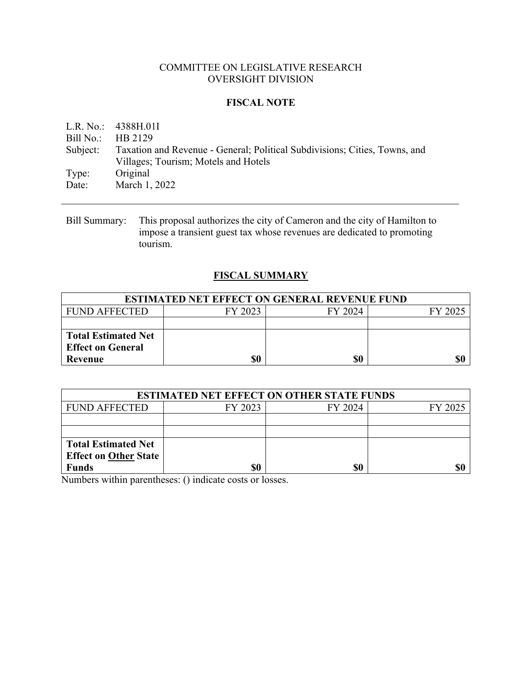## COMMITTEE ON LEGISLATIVE RESEARCH OVERSIGHT DIVISION

## **FISCAL NOTE**

L.R. No.: 4388H.01I Bill No.: HB 2129 Subject: Taxation and Revenue - General; Political Subdivisions; Cities, Towns, and Villages; Tourism; Motels and Hotels Type: Original Date: March 1, 2022

Bill Summary: This proposal authorizes the city of Cameron and the city of Hamilton to impose a transient guest tax whose revenues are dedicated to promoting tourism.

## **FISCAL SUMMARY**

| <b>ESTIMATED NET EFFECT ON GENERAL REVENUE FUND</b> |         |         |         |  |
|-----------------------------------------------------|---------|---------|---------|--|
| FUND AFFECTED                                       | FY 2023 | FY 2024 | FY 2025 |  |
|                                                     |         |         |         |  |
| <b>Total Estimated Net</b>                          |         |         |         |  |
| <b>Effect on General</b>                            |         |         |         |  |
| Revenue                                             | \$0     | \$0     | \$0     |  |

| <b>ESTIMATED NET EFFECT ON OTHER STATE FUNDS</b> |         |         |         |  |  |
|--------------------------------------------------|---------|---------|---------|--|--|
| <b>FUND AFFECTED</b>                             | FY 2023 | FY 2024 | FY 2025 |  |  |
|                                                  |         |         |         |  |  |
|                                                  |         |         |         |  |  |
| <b>Total Estimated Net</b>                       |         |         |         |  |  |
| <b>Effect on Other State</b>                     |         |         |         |  |  |
| <b>Funds</b>                                     |         | \$0     | \$(     |  |  |

Numbers within parentheses: () indicate costs or losses.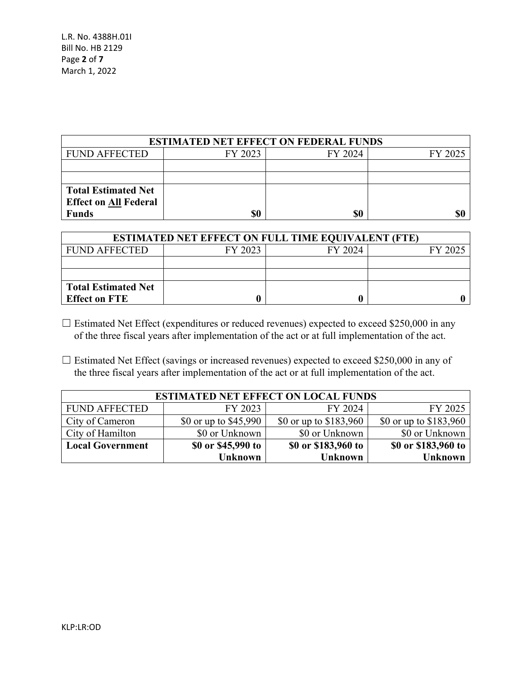| <b>ESTIMATED NET EFFECT ON FEDERAL FUNDS</b> |         |         |         |  |
|----------------------------------------------|---------|---------|---------|--|
| <b>FUND AFFECTED</b>                         | FY 2023 | FY 2024 | FY 2025 |  |
|                                              |         |         |         |  |
|                                              |         |         |         |  |
| <b>Total Estimated Net</b>                   |         |         |         |  |
| <b>Effect on All Federal</b>                 |         |         |         |  |
| <b>Funds</b>                                 | \$0     | \$0     |         |  |

| <b>ESTIMATED NET EFFECT ON FULL TIME EQUIVALENT (FTE)</b> |         |         |         |  |
|-----------------------------------------------------------|---------|---------|---------|--|
| <b>FUND AFFECTED</b>                                      | FY 2023 | FY 2024 | FY 2025 |  |
|                                                           |         |         |         |  |
|                                                           |         |         |         |  |
| <b>Total Estimated Net</b>                                |         |         |         |  |
| <b>Effect on FTE</b>                                      |         |         |         |  |

- □ Estimated Net Effect (expenditures or reduced revenues) expected to exceed \$250,000 in any of the three fiscal years after implementation of the act or at full implementation of the act.
- □ Estimated Net Effect (savings or increased revenues) expected to exceed \$250,000 in any of the three fiscal years after implementation of the act or at full implementation of the act.

| <b>ESTIMATED NET EFFECT ON LOCAL FUNDS</b> |                        |                         |                         |  |
|--------------------------------------------|------------------------|-------------------------|-------------------------|--|
| <b>FUND AFFECTED</b>                       | FY 2023                | FY 2024                 | FY 2025                 |  |
| City of Cameron                            | \$0 or up to $$45,990$ | \$0 or up to $$183,960$ | \$0 or up to $$183,960$ |  |
| City of Hamilton                           | \$0 or Unknown         | \$0 or Unknown          | \$0 or Unknown          |  |
| <b>Local Government</b>                    | \$0 or \$45,990 to     | \$0 or \$183,960 to     | \$0 or \$183,960 to     |  |
|                                            | <b>Unknown</b>         | <b>Unknown</b>          | <b>Unknown</b>          |  |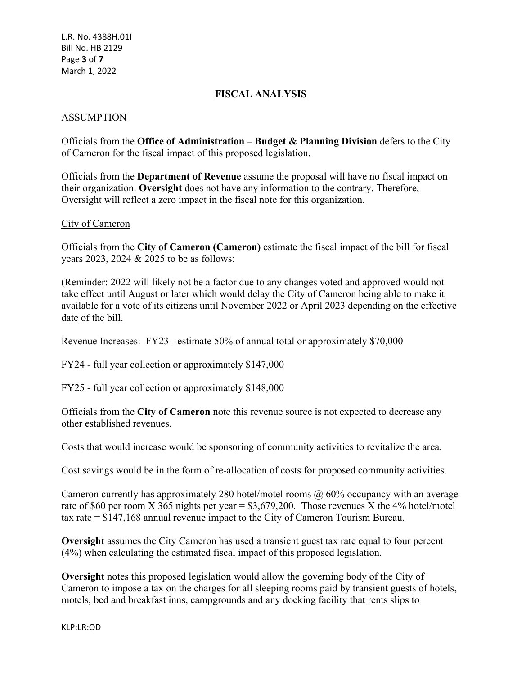## **FISCAL ANALYSIS**

## ASSUMPTION

Officials from the **Office of Administration – Budget & Planning Division** defers to the City of Cameron for the fiscal impact of this proposed legislation.

Officials from the **Department of Revenue** assume the proposal will have no fiscal impact on their organization. **Oversight** does not have any information to the contrary. Therefore, Oversight will reflect a zero impact in the fiscal note for this organization.

#### City of Cameron

Officials from the **City of Cameron (Cameron)** estimate the fiscal impact of the bill for fiscal years 2023, 2024 & 2025 to be as follows:

(Reminder: 2022 will likely not be a factor due to any changes voted and approved would not take effect until August or later which would delay the City of Cameron being able to make it available for a vote of its citizens until November 2022 or April 2023 depending on the effective date of the bill.

Revenue Increases: FY23 - estimate 50% of annual total or approximately \$70,000

FY24 - full year collection or approximately \$147,000

FY25 - full year collection or approximately \$148,000

Officials from the **City of Cameron** note this revenue source is not expected to decrease any other established revenues.

Costs that would increase would be sponsoring of community activities to revitalize the area.

Cost savings would be in the form of re-allocation of costs for proposed community activities.

Cameron currently has approximately 280 hotel/motel rooms  $\omega$  60% occupancy with an average rate of \$60 per room X 365 nights per year =  $$3,679,200$ . Those revenues X the 4% hotel/motel tax rate = \$147,168 annual revenue impact to the City of Cameron Tourism Bureau.

**Oversight** assumes the City Cameron has used a transient guest tax rate equal to four percent (4%) when calculating the estimated fiscal impact of this proposed legislation.

**Oversight** notes this proposed legislation would allow the governing body of the City of Cameron to impose a tax on the charges for all sleeping rooms paid by transient guests of hotels, motels, bed and breakfast inns, campgrounds and any docking facility that rents slips to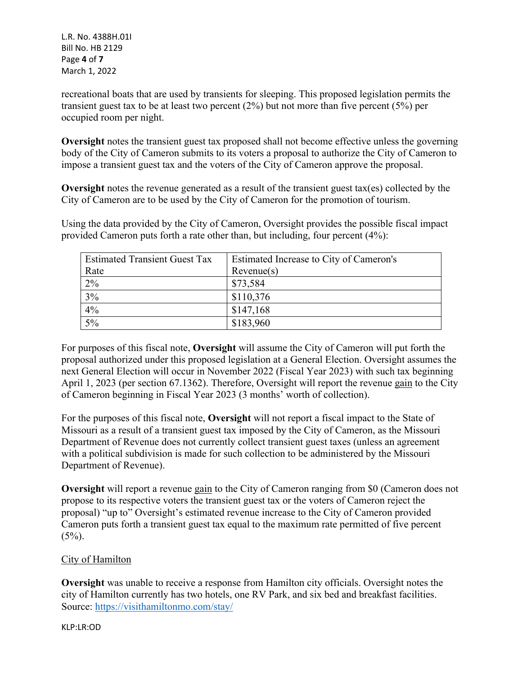L.R. No. 4388H.01I Bill No. HB 2129 Page **4** of **7** March 1, 2022

recreational boats that are used by transients for sleeping. This proposed legislation permits the transient guest tax to be at least two percent (2%) but not more than five percent (5%) per occupied room per night.

**Oversight** notes the transient guest tax proposed shall not become effective unless the governing body of the City of Cameron submits to its voters a proposal to authorize the City of Cameron to impose a transient guest tax and the voters of the City of Cameron approve the proposal.

**Oversight** notes the revenue generated as a result of the transient guest tax(es) collected by the City of Cameron are to be used by the City of Cameron for the promotion of tourism.

Using the data provided by the City of Cameron, Oversight provides the possible fiscal impact provided Cameron puts forth a rate other than, but including, four percent (4%):

| <b>Estimated Transient Guest Tax</b> | Estimated Increase to City of Cameron's |
|--------------------------------------|-----------------------------------------|
| Rate                                 | Revenue(s)                              |
| 2%                                   | \$73,584                                |
| 3%                                   | \$110,376                               |
| 4%                                   | \$147,168                               |
| $5\%$                                | \$183,960                               |

For purposes of this fiscal note, **Oversight** will assume the City of Cameron will put forth the proposal authorized under this proposed legislation at a General Election. Oversight assumes the next General Election will occur in November 2022 (Fiscal Year 2023) with such tax beginning April 1, 2023 (per section 67.1362). Therefore, Oversight will report the revenue gain to the City of Cameron beginning in Fiscal Year 2023 (3 months' worth of collection).

For the purposes of this fiscal note, **Oversight** will not report a fiscal impact to the State of Missouri as a result of a transient guest tax imposed by the City of Cameron, as the Missouri Department of Revenue does not currently collect transient guest taxes (unless an agreement with a political subdivision is made for such collection to be administered by the Missouri Department of Revenue).

**Oversight** will report a revenue gain to the City of Cameron ranging from \$0 (Cameron does not propose to its respective voters the transient guest tax or the voters of Cameron reject the proposal) "up to" Oversight's estimated revenue increase to the City of Cameron provided Cameron puts forth a transient guest tax equal to the maximum rate permitted of five percent  $(5\%)$ .

# City of Hamilton

**Oversight** was unable to receive a response from Hamilton city officials. Oversight notes the city of Hamilton currently has two hotels, one RV Park, and six bed and breakfast facilities. Source: <https://visithamiltonmo.com/stay/>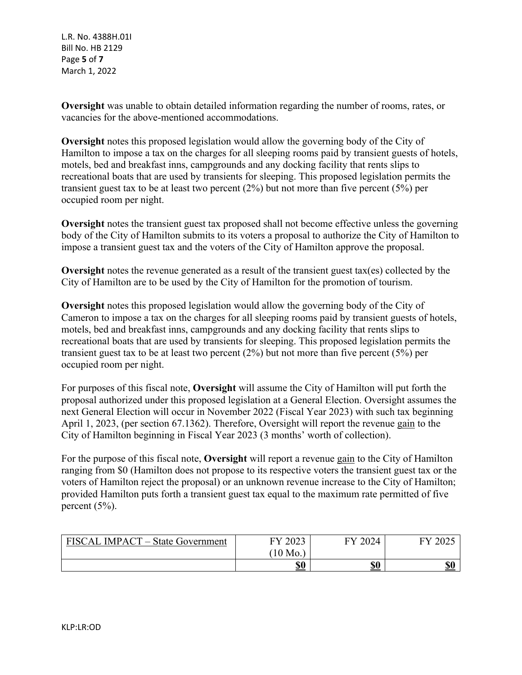L.R. No. 4388H.01I Bill No. HB 2129 Page **5** of **7** March 1, 2022

**Oversight** was unable to obtain detailed information regarding the number of rooms, rates, or vacancies for the above-mentioned accommodations.

**Oversight** notes this proposed legislation would allow the governing body of the City of Hamilton to impose a tax on the charges for all sleeping rooms paid by transient guests of hotels, motels, bed and breakfast inns, campgrounds and any docking facility that rents slips to recreational boats that are used by transients for sleeping. This proposed legislation permits the transient guest tax to be at least two percent  $(2%)$  but not more than five percent  $(5%)$  per occupied room per night.

**Oversight** notes the transient guest tax proposed shall not become effective unless the governing body of the City of Hamilton submits to its voters a proposal to authorize the City of Hamilton to impose a transient guest tax and the voters of the City of Hamilton approve the proposal.

**Oversight** notes the revenue generated as a result of the transient guest tax(es) collected by the City of Hamilton are to be used by the City of Hamilton for the promotion of tourism.

**Oversight** notes this proposed legislation would allow the governing body of the City of Cameron to impose a tax on the charges for all sleeping rooms paid by transient guests of hotels, motels, bed and breakfast inns, campgrounds and any docking facility that rents slips to recreational boats that are used by transients for sleeping. This proposed legislation permits the transient guest tax to be at least two percent (2%) but not more than five percent (5%) per occupied room per night.

For purposes of this fiscal note, **Oversight** will assume the City of Hamilton will put forth the proposal authorized under this proposed legislation at a General Election. Oversight assumes the next General Election will occur in November 2022 (Fiscal Year 2023) with such tax beginning April 1, 2023, (per section 67.1362). Therefore, Oversight will report the revenue gain to the City of Hamilton beginning in Fiscal Year 2023 (3 months' worth of collection).

For the purpose of this fiscal note, **Oversight** will report a revenue gain to the City of Hamilton ranging from \$0 (Hamilton does not propose to its respective voters the transient guest tax or the voters of Hamilton reject the proposal) or an unknown revenue increase to the City of Hamilton; provided Hamilton puts forth a transient guest tax equal to the maximum rate permitted of five percent (5%).

| <b>FISCAL</b><br><b>IMPACT</b> – State Government | 2022<br>cv<br>ZUZJ | 2024<br>гv | 2025<br>EVZ |
|---------------------------------------------------|--------------------|------------|-------------|
|                                                   | 10<br>Mo.          |            |             |
|                                                   | <b>\$0</b>         | <b>\$0</b> | <b>\$0</b>  |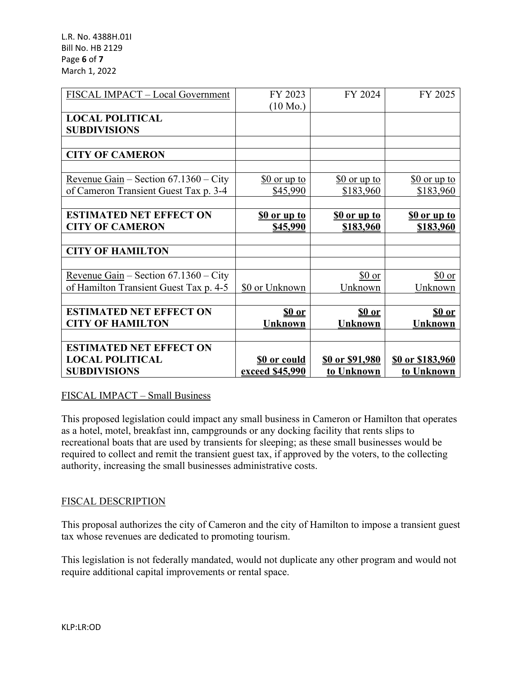L.R. No. 4388H.01I Bill No. HB 2129 Page **6** of **7** March 1, 2022

| FISCAL IMPACT - Local Government               | FY 2023             | FY 2024                | FY 2025                 |
|------------------------------------------------|---------------------|------------------------|-------------------------|
|                                                | $(10 \text{ Mo.})$  |                        |                         |
| <b>LOCAL POLITICAL</b>                         |                     |                        |                         |
| <b>SUBDIVISIONS</b>                            |                     |                        |                         |
|                                                |                     |                        |                         |
| <b>CITY OF CAMERON</b>                         |                     |                        |                         |
|                                                |                     |                        |                         |
| Revenue Gain – Section $67.1360$ – City        | $$0$ or up to       | $$0$ or up to          | $$0$ or up to           |
| of Cameron Transient Guest Tax p. 3-4          | \$45,990            | \$183,960              | \$183,960               |
|                                                |                     |                        |                         |
| <b>ESTIMATED NET EFFECT ON</b>                 | <u>SO or up to</u>  | <u>SO or up to</u>     | <b>SO or up to</b>      |
| <b>CITY OF CAMERON</b>                         | \$45,990            | \$183,960              | \$183,960               |
|                                                |                     |                        |                         |
| <b>CITY OF HAMILTON</b>                        |                     |                        |                         |
|                                                |                     |                        |                         |
| <u>Revenue Gain</u> – Section $67.1360$ – City |                     | \$0 or                 | \$0 or                  |
| of Hamilton Transient Guest Tax p. 4-5         | \$0 or Unknown      | Unknown                | Unknown                 |
|                                                |                     |                        |                         |
| <b>ESTIMATED NET EFFECT ON</b>                 | \$0 or              | <u>so or</u>           | \$0 or                  |
| <b>CITY OF HAMILTON</b>                        | <b>Unknown</b>      | <b>Unknown</b>         | <b>Unknown</b>          |
|                                                |                     |                        |                         |
| <b>ESTIMATED NET EFFECT ON</b>                 |                     |                        |                         |
| <b>LOCAL POLITICAL</b>                         | <b>\$0 or could</b> | <u>\$0 or \$91,980</u> | <u>\$0 or \$183,960</u> |
| <b>SUBDIVISIONS</b>                            | exceed \$45,990     | to Unknown             | to Unknown              |

## FISCAL IMPACT – Small Business

This proposed legislation could impact any small business in Cameron or Hamilton that operates as a hotel, motel, breakfast inn, campgrounds or any docking facility that rents slips to recreational boats that are used by transients for sleeping; as these small businesses would be required to collect and remit the transient guest tax, if approved by the voters, to the collecting authority, increasing the small businesses administrative costs.

## FISCAL DESCRIPTION

This proposal authorizes the city of Cameron and the city of Hamilton to impose a transient guest tax whose revenues are dedicated to promoting tourism.

This legislation is not federally mandated, would not duplicate any other program and would not require additional capital improvements or rental space.